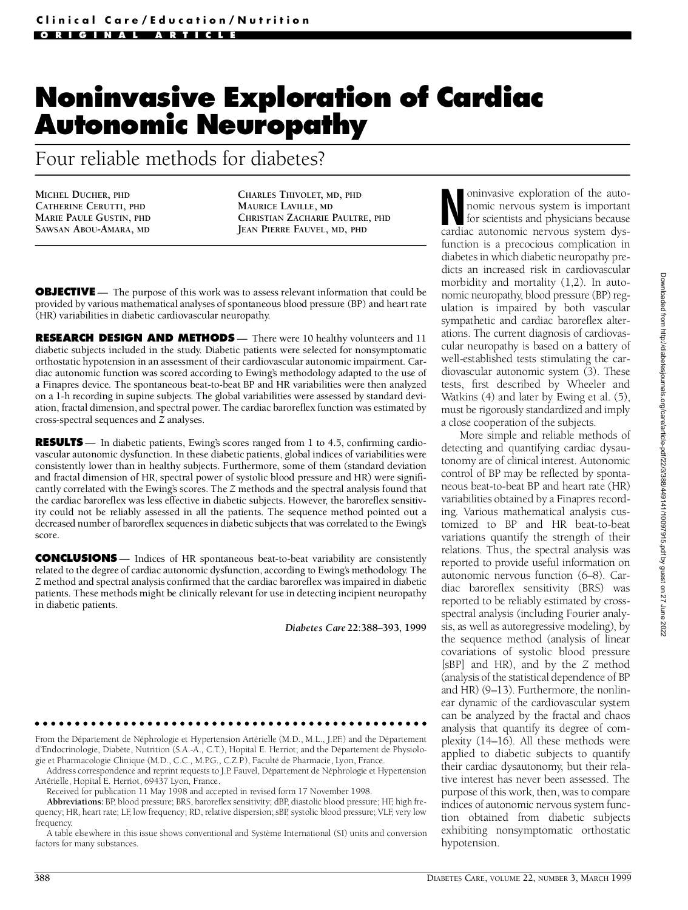# **Noninvasive Exploration of Cardiac Autonomic Neuropathy**

Four reliable methods for diabetes?

**MICHEL DUCHER, PHD CATHERINE CERUTTI, PHD MARIE PAULE GUSTIN, PHD SAWSAN ABOU-AMARA, MD**

**CHARLES THIVOLET, MD, PHD MAURICE LAVILLE, MD CHRISTIAN ZACHARIE PAULTRE, PHD JEAN PIERRE FAUVEL, MD, PHD**

**OBJECTIVE** — The purpose of this work was to assess relevant information that could be provided by various mathematical analyses of spontaneous blood pressure (BP) and heart rate (HR) variabilities in diabetic cardiovascular neuropathy.

**RESEARCH DESIGN AND METHODS** — There were 10 healthy volunteers and 11 diabetic subjects included in the study. Diabetic patients were selected for nonsymptomatic o rthostatic hypotension in an assessment of their cardiovascular autonomic impairment. Cardiac autonomic function was scored according to Ewing's methodology adapted to the use of a Finapres device. The spontaneous beat-to-beat BP and HR variabilities were then analyzed on a 1-h recording in supine subjects. The global variabilities were assessed by standard deviation, fractal dimension, and spectral power. The cardiac baro re flex function was estimated by cross-spectral sequences and *Z* analyses.

**RESULTS** — In diabetic patients, Ewing's scores ranged from 1 to 4.5, confirming cardiovascular autonomic dysfunction. In these diabetic patients, global indices of variabilities were consistently lower than in healthy subjects. Furthermore, some of them (standard deviation and fractal dimension of HR, spectral power of systolic blood pressure and HR) were significantly correlated with the Ewing's scores. The *Z* methods and the spectral analysis found that the cardiac baroreflex was less effective in diabetic subjects. However, the baroreflex sensitivity could not be reliably assessed in all the patients. The sequence method pointed out a decreased number of baro reflex sequences in diabetic subjects that was correlated to the Ewing's score.

**CONCLUSIONS** — Indices of HR spontaneous beat-to-beat variability are consistently related to the degree of cardiac autonomic dysfunction, according to Ewing's methodology. The *Z* method and spectral analysis confirmed that the cardiac baroreflex was impaired in diabetic patients. These methods might be clinically relevant for use in detecting incipient neuropathy in diabetic patients.

*Diabetes Care***22:388–393, 1999**

From the Département de Néphrologie et Hypertension Artérielle (M.D., M.L., J.P.F.) and the Département d'Endocrinologie, Diabète, Nutrition (S.A.-A., C.T.), Hopital E. Herriot; and the Département de Physiologie et Pharmacologie Clinique (M.D., C.C., M.P.G., C.Z.P.), Faculté de Pharmacie, Lyon, France.

Address correspondence and reprint requests to J.P. Fauvel, Département de Néphrologie et Hypertension Artérielle, Hopital E. Herriot, 69437 Lyon, France.

Received for publication 11 May 1998 and accepted in revised form 17 November 1998.

Abbreviations: BP, blood pressure; BRS, baroreflex sensitivity; dBP, diastolic blood pressure; HF, high frequency; HR, heart rate; LF, low frequency; RD, relative dispersion; sBP, systolic blood pressure; VLF, very low frequency.

A table elsewhere in this issue shows conventional and Système International (SI) units and conversion factors for many substances.

oninvasive exploration of the auto-<br>nomic nervous system is important<br>for scientists and physicians because<br>cardiac autonomic nervous system dysoninvasive exploration of the autonomic nervous system is important for scientists and physicians because function is a precocious complication in diabetes in which diabetic neuropathy predicts an increased risk in cardiovascular morbidity and mortality (1,2). In autonomic neuropathy, blood pressure (BP) regulation is impaired by both vascular sympathetic and cardiac baroreflex alterations. The current diagnosis of cardiovascular neuropathy is based on a battery of well-established tests stimulating the cardiovascular autonomic system (3). These tests, first described by Wheeler and Watkins (4) and later by Ewing et al. (5), must be rigorously standardized and imply a close cooperation of the subjects.

More simple and reliable methods of detecting and quantifying cardiac dysautonomy are of clinical interest. Autonomic control of BP may be reflected by spontaneous beat-to-beat BP and heart rate (HR) variabilities obtained by a Finapres recording. Various mathematical analysis customized to BP and HR beat-to-beat variations quantify the strength of their relations. Thus, the spectral analysis was reported to provide useful information on autonomic nervous function (6–8). Cardiac baroreflex sensitivity (BRS) was reported to be reliably estimated by crossspectral analysis (including Fourier analysis, as well as autoregressive modeling), by the sequence method (analysis of linear covariations of systolic blood pressure [sBP] and HR), and by the *Z* method (analysis of the statistical dependence of BP and HR)  $(9-13)$ . Furthermore, the nonlinear dynamic of the cardiovascular system can be analyzed by the fractal and chaos analysis that quantify its degree of complexity (14–16). All these methods were applied to diabetic subjects to quantify their cardiac dysautonomy, but their relative interest has never been assessed. The purpose of this work, then, was to compare indices of autonomic nervous system function obtained from diabetic subjects exhibiting nonsymptomatic orthostatic hypotension.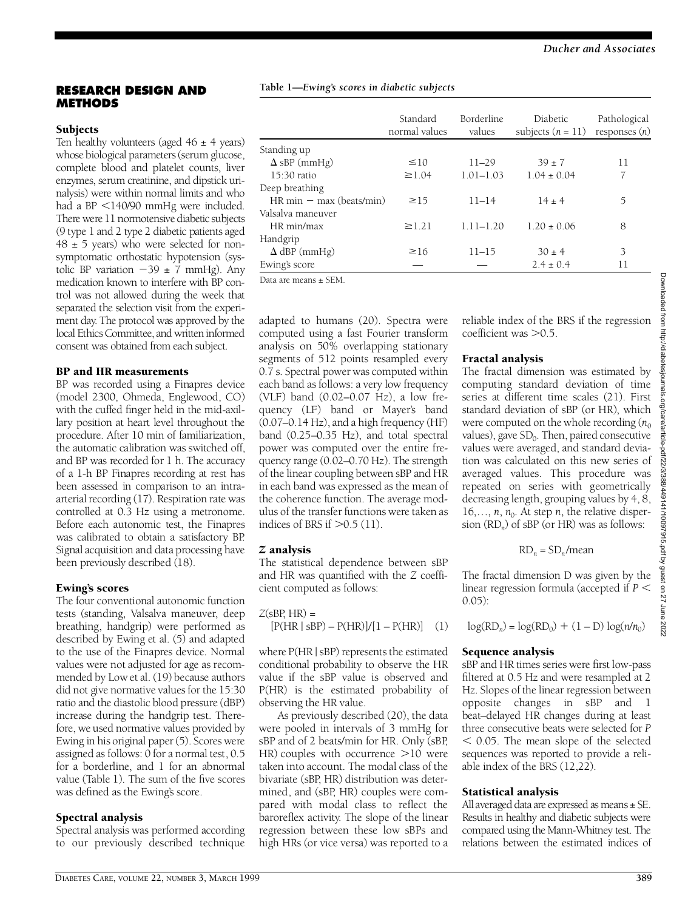#### **RESEARCH DESIGN AND METHODS**

## **Subjects**

Ten healthy volunteers (aged  $46 \pm 4$  years) whose biological parameters (serum glucose, complete blood and platelet counts, liver enzymes, serum creatinine, and dipstick urinalysis) were within normal limits and who had a BP  $\leq$ 140/90 mmHg were included. There were 11 normotensive diabetic subjects (9 type 1 and 2 type 2 diabetic patients aged  $48 \pm 5$  years) who were selected for nonsymptomatic orthostatic hypotension (systolic BP variation  $-39 \pm 7$  mmHg). Any medication known to interfere with BP control was not allowed during the week that separated the selection visit from the experiment day. The protocol was approved by the local Ethics Committee, and written informed consent was obtained from each subject.

#### BP and HR measurements

BP was recorded using a Finapres device (model 2300, Ohmeda, Englewood, CO) with the cuffed finger held in the mid-axillary position at heart level throughout the procedure. After 10 min of familiarization, the automatic calibration was switched off, and BP was recorded for  $1$  h. The accuracy of a 1-h BP Finapres recording at rest has been assessed in comparison to an intraarterial recording  $(17)$ . Respiration rate was controlled at 0.3 Hz using a metronome. Before each autonomic test, the Finapres was calibrated to obtain a satisfactory BP. Signal acquisition and data processing have been previously described (18).

#### Ewing's scores

The four conventional autonomic function tests (standing, Valsalva maneuver, deep breathing, handgrip) were performed as described by Ewing et al. (5) and adapted to the use of the Finapres device. Normal values were not adjusted for age as recommended by Low et al. (19) because authors did not give normative values for the 15:30 ratio and the diastolic blood pressure (dBP) increase during the handgrip test. Therefore, we used normative values provided by Ewing in his original paper (5). Scores were assigned as follows: 0 for a normal test, 0.5 for a borderline, and  $1$  for an abnormal value (Table 1). The sum of the five scores was defined as the Ewing's score .

## Spectral analysis

Spectral analysis was performed according to our previously described technique

#### **Table 1—***Ewing's scores in diabetic subjects*

| $\leq 10$   | $11 - 29$     |                 |    |
|-------------|---------------|-----------------|----|
|             |               |                 |    |
|             |               | $39 + 7$        | 11 |
| $\geq$ 1.04 | $1.01 - 1.03$ | $1.04 \pm 0.04$ | 7  |
|             |               |                 |    |
| $\geq$ 15   | $11 - 14$     | $14 \pm 4$      | 5  |
|             |               |                 |    |
| $\geq$ 1.21 | $1.11 - 1.20$ | $1.20 \pm 0.06$ | 8  |
|             |               |                 |    |
| $\geq 16$   | $11 - 15$     | $30 \pm 4$      | 3  |
|             |               | $2.4 \pm 0.4$   | 11 |
|             |               |                 |    |

Data are means ± SEM.

adapted to humans (20). Spectra were computed using a fast Fourier transform analysis on 50% overlapping stationary segments of 512 points resampled every 0.7 s. Spectral power was computed within each band as follows: a very low frequency (VLF) band (0.02–0.07 Hz), a low frequency (LF) band or Mayer's band (0.07–0.14 Hz), and a high frequency (HF) band (0.25–0.35 Hz), and total spectral power was computed over the entire frequency range  $(0.02 - 0.70 \text{ Hz})$ . The strength of the linear coupling between sBP and HR in each band was expressed as the mean of the coherence function. The average modulus of the transfer functions were taken as indices of BRS if  $>0.5$  (11).

## *Z* analysis

The statistical dependence between sBP and HR was quantified with the  $Z$  coefficient computed as follows:

$$
Z(sBP, HR) =
$$
  
[P(HR | sBP) – P(HR)]/[1 – P(HR)] (1)

where  $P(HR | sBP)$  represents the estimated conditional probability to observe the HR value if the sBP value is observed and P(HR) is the estimated probability of observing the HR value.

As previously described (20), the data were pooled in intervals of 3 mmHg for sBP and of 2 beats/min for HR. Only (sBP, HR) couples with occurrence  $>10$  were taken into account. The modal class of the bivariate (sBP, HR) distribution was determined, and (sBP, HR) couples were compared with modal class to reflect the baroreflex activity. The slope of the linear regression between these low sBPs and high HRs (or vice versa) was reported to a

reliable index of the BRS if the regression coefficient was  $>0.5$ .

# Fractal analysis

The fractal dimension was estimated by computing standard deviation of time series at different time scales (21). First standard deviation of sBP (or HR), which were computed on the whole recording  $(n_0)$ values), gave  $SD_0$ . Then, paired consecutive values were averaged, and standard deviation was calculated on this new series of averaged values. This procedure was repeated on series with geometrically decreasing length, grouping values by  $4, 8$ , 16,...,  $n$ ,  $n_0$ . At step  $n$ , the relative dispersion (RD*<sup>n</sup>* ) of sBP (or HR) was as follows:

$$
RD_n = SD_n / mean
$$

The fractal dimension D was given by the linear regression formula (accepted if  $P \leq$  $(0.05)$ :

$$
\log(RD_n) = \log(RD_0) + (1 - D)\log(n/n_0)
$$

#### Sequence analysis

sBP and HR times series were first low-pass filtered at 0.5 Hz and were resampled at 2 Hz. Slopes of the linear regression between opposite changes in sBP and 1 beat–delayed HR changes during at least three consecutive beats were selected for *P*  $<$  0.05. The mean slope of the selected sequences was reported to provide a reliable index of the BRS (12,22).

#### Statistical analysis

All averaged data are expressed as means ± SE. Results in healthy and diabetic subjects were compared using the Mann-Whitney test. The relations between the estimated indices of

2022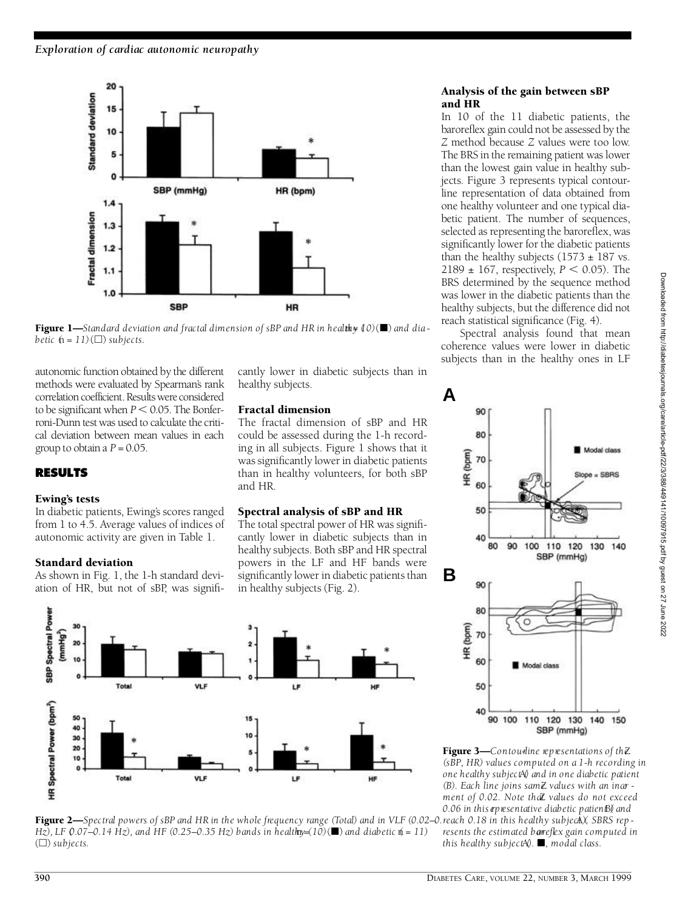

Figure 1—Standard deviation and fractal dimension of sBP and HR in healthy  $(0)(\blacksquare)$  and dia*betic*  $(h = 11)(\Box)$  *subjects.* 

autonomic function obtained by the different methods were evaluated by Spearman's rank correlation coefficient. Results were considered to be significant when  $P < 0.05$ . The Bonferroni-Dunn test was used to calculate the critical deviation between mean values in each group to obtain a  $P = 0.05$ .

# **R E S U LT S**

#### Ewing's tests

In diabetic patients, Ewing's scores ranged from 1 to 4.5. Average values of indices of autonomic activity are given in Table 1.

## Standard deviation

As shown in Fig. 1, the 1-h standard deviation of HR, but not of sBP, was signifi-

cantly lower in diabetic subjects than in healthy subjects.

## Fractal dimension

The fractal dimension of sBP and HR could be assessed during the 1-h recording in all subjects. Figure 1 shows that it was significantly lower in diabetic patients than in healthy volunteers, for both sBP and HR.

# Spectral analysis of sBP and HR

The total spectral power of HR was significantly lower in diabetic subjects than in healthy subjects. Both sBP and HR spectral powers in the LF and HF bands were significantly lower in diabetic patients than in healthy subjects (Fig. 2).





## Analysis of the gain between sBP and HR

In 10 of the 11 diabetic patients, the baroreflex gain could not be assessed by the *Z* method because *Z* values were too low. The BRS in the remaining patient was lower than the lowest gain value in healthy subjects. Figure 3 represents typical contourline representation of data obtained from one healthy volunteer and one typical diabetic patient. The number of sequences, selected as representing the baroreflex, was significantly lower for the diabetic patients than the healthy subjects  $(1573 \pm 187 \text{ vs.})$  $2189 \pm 167$ , respectively, *P* < 0.05). The BRS determined by the sequence method was lower in the diabetic patients than the healthy subjects, but the difference did not reach statistical significance (Fig. 4).

Spectral analysis found that mean coherence values were lower in diabetic subjects than in the healthy ones in LF



Figure 3—*Contou-line representations of th*Z *(sBP, HR) values computed on a 1-h recording in one healthy subject (*A*) and in one diabetic patient (B). Each line joins same* Z *values with an incre ment of 0.02. Note that values do not exceed 0.06 in this rep resentative diabetic patien BI)* and *resents the estimated bareflex gain computed in* 

*this healthy subject*<sup>A</sup> $Q$ . ■, modal class.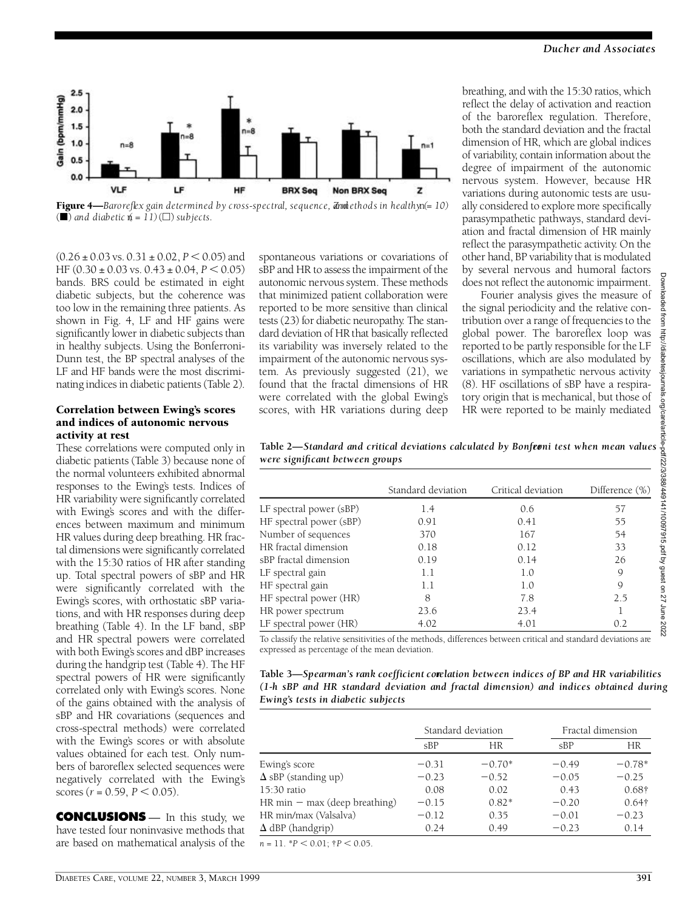

**Figure 4—***Baro reflex gain determined by cross-spectral, sequence, and ethods in healthy*  $(n = 10)$  $(\blacksquare)$  and diabetic  $\phi = 11)$   $(\square)$  subjects.

 $(0.26 \pm 0.03 \text{ vs. } 0.31 \pm 0.02, P \le 0.05)$  and HF  $(0.30 \pm 0.03 \text{ vs. } 0.43 \pm 0.04, P \le 0.05)$ bands. BRS could be estimated in eight diabetic subjects, but the coherence was too low in the remaining three patients. As shown in Fig. 4, LF and HF gains were significantly lower in diabetic subjects than in healthy subjects. Using the Bonferroni-Dunn test, the BP spectral analyses of the LF and HF bands were the most discriminating indices in diabetic patients (Table 2).

#### Correlation between Ewing's scores and indices of autonomic nervous activity at rest

These correlations were computed only in diabetic patients (Table 3) because none of the normal volunteers exhibited abnormal responses to the Ewing's tests. Indices of HR variability were significantly correlated with Ewing's scores and with the differences between maximum and minimum HR values during deep breathing. HR fractal dimensions were significantly correlated with the 15:30 ratios of HR after standing up. Total spectral powers of sBP and HR were significantly correlated with the Ewing's scores, with orthostatic sBP variations, and with HR responses during deep breathing (Table 4). In the LF band, sBP and HR spectral powers were correlated with both Ewing's scores and dBP increases during the handgrip test (Table 4). The HF spectral powers of HR were significantly correlated only with Ewing's scores. None of the gains obtained with the analysis of sBP and HR covariations (sequences and cross-spectral methods) were correlated with the Ewing's scores or with absolute values obtained for each test. Only numbers of baroreflex selected sequences were negatively correlated with the Ewing's scores ( $r = 0.59$ ,  $P < 0.05$ ).

**CONCLUSIONS** — In this study, we have tested four noninvasive methods that are based on mathematical analysis of the

spontaneous variations or covariations of sBP and HR to assess the impairment of the autonomic nervous system. These methods that minimized patient collaboration were reported to be more sensitive than clinical tests (23) for diabetic neuropathy. The standard deviation of HR that basically reflected its variability was inversely related to the impairment of the autonomic nervous system. As previously suggested (21), we found that the fractal dimensions of HR were correlated with the global Ewing's scores, with HR variations during deep breathing, and with the 15:30 ratios, which reflect the delay of activation and reaction of the baro reflex regulation. Therefore, both the standard deviation and the fractal dimension of HR, which are global indices of variability, contain information about the degree of impairment of the autonomic nervous system. However, because HR variations during autonomic tests are usually considered to explore more specifically parasympathetic pathways, standard deviation and fractal dimension of HR mainly re flect the parasympathetic activity. On the other hand, BP variability that is modulated by several nervous and humoral factors does not reflect the autonomic impairment.

Fourier analysis gives the measure of the signal periodicity and the relative contribution over a range of frequencies to the global power. The baroreflex loop was reported to be partly responsible for the LF oscillations, which are also modulated by variations in sympathetic nervous activity  $(8)$ . HF oscillations of sBP have a respiratory origin that is mechanical, but those of HR were reported to be mainly mediated

Table 2—Standard and critical deviations calculated by Bonferni test when mean values *were significant between groups*

|                         | Standard deviation | Critical deviation | Difference $(\%)$ |
|-------------------------|--------------------|--------------------|-------------------|
| LF spectral power (sBP) | 1.4                | 0.6                | 57                |
| HF spectral power (sBP) | 0.91               | 0.41               | 55                |
| Number of sequences     | 370                | 167                | 54                |
| HR fractal dimension    | 0.18               | 0.12               | 33                |
| sBP fractal dimension   | 0.19               | 0.14               | 26                |
| LF spectral gain        | 1.1                | 1.0                | 9                 |
| HF spectral gain        | $1.1\,$            | 1.0                | 9                 |
| HF spectral power (HR)  | 8                  | 7.8                | 2.5               |
| HR power spectrum       | 23.6               | 23.4               |                   |
| LF spectral power (HR)  | 4.02               | 4.01               | 0.2               |

To classify the relative sensitivities of the methods, differences between critical and standard deviations are expressed as percentage of the mean deviation.

**Table 3—***Spearman's rank coefficient correlation between indices of BP and HR variabilities (1-h sBP and HR standard deviation and fractal dimension) and indices obtained during Ewing's tests in diabetic subjects*

|                                                | Standard deviation |           | Fractal dimension |               |
|------------------------------------------------|--------------------|-----------|-------------------|---------------|
|                                                | SBP                | <b>HR</b> | SBP               | HR            |
| Ewing's score                                  | $-0.31$            | $-0.70*$  | $-0.49$           | $-0.78*$      |
| $\Delta$ sBP (standing up)                     | $-0.23$            | $-0.52$   | $-0.05$           | $-0.25$       |
| 15:30 ratio                                    | 0.08               | 0.02      | 0.43              | $0.68\dagger$ |
| $HR \text{ min} - \text{max}$ (deep breathing) | $-0.15$            | $0.82*$   | $-0.20$           | $0.64\dagger$ |
| HR min/max (Valsalva)                          | $-0.12$            | 0.35      | $-0.01$           | $-0.23$       |
| $\Delta$ dBP (handgrip)                        | 0.24               | 0.49      | $-0.23$           | 0.14          |

Downloaded from http://diabetesjournals.org/care/article-pdf/22/3/388/449141/10097915.pdf by guest on 27 June 2022from http://diabetesjournals.org/care/article-pdf/22/3/388/449141/10097915.pdf by guest on 27 June 2022

bashoun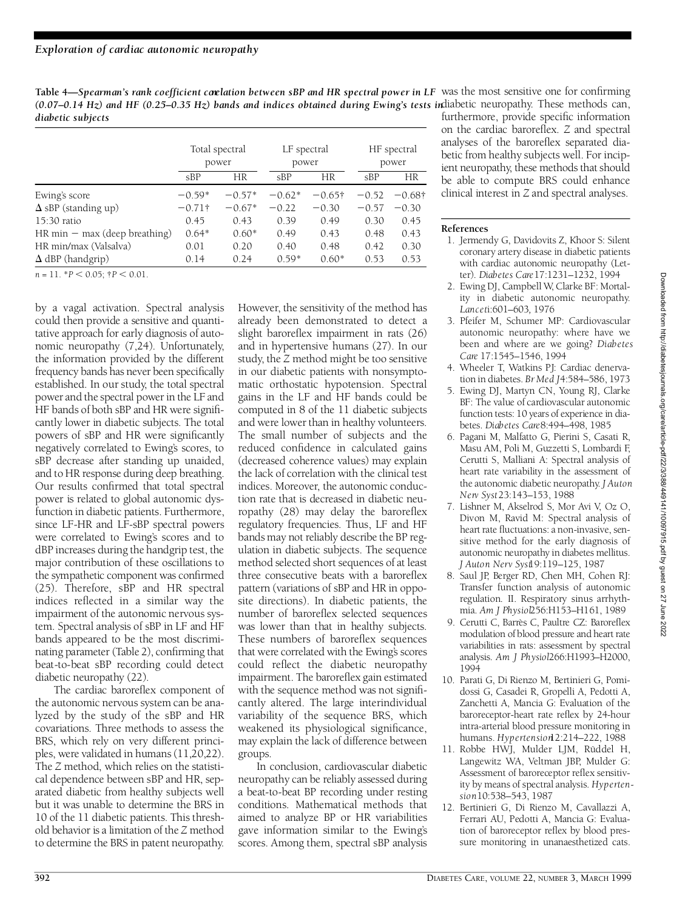Table 4—Spearman's rank coefficient correlation between sBP and HR spectral power in LF was the most sensitive one for confirming (0.07–0.14 Hz) and HF (0.25–0.35 Hz) bands and indices obtained during Ewing's tests indiabetic neuropathy. These methods can, furthermore, provide specific information *diabetic subjects*

|                                                | Total spectral<br>power |          | LF spectral<br>power |                | HF spectral<br>power |           |
|------------------------------------------------|-------------------------|----------|----------------------|----------------|----------------------|-----------|
|                                                | SBP                     | HR       | SBP                  | HR             | SBP                  | HR        |
| Ewing's score                                  | $-0.59*$                | $-0.57*$ | $-0.62*$             | $-0.65\dagger$ | $-0.52$              | $-0.68$ † |
| $\Delta$ sBP (standing up)                     | $-0.71$ †               | $-0.67*$ | $-0.22$              | $-0.30$        | $-0.57$              | $-0.30$   |
| 15:30 ratio                                    | 0.45                    | 0.43     | 0.39                 | 0.49           | 0.30                 | 0.45      |
| $HR \text{ min} - \text{max}$ (deep breathing) | $0.64*$                 | $0.60*$  | 0.49                 | 0.43           | 0.48                 | 0.43      |
| HR min/max (Valsalva)                          | 0.01                    | 0.20     | 0.40                 | 0.48           | 0.42                 | 0.30      |
| $\Delta$ dBP (handgrip)                        | 0.14                    | 0.24     | $0.59*$              | $0.60*$        | 0.53                 | 0.53      |

 $n = 11. *P < 0.05;$   $\dagger P < 0.01.$ 

by a vagal activation. Spectral analysis could then provide a sensitive and quantitative approach for early diagnosis of autonomic neuropathy  $(7,24)$ . Unfortunately, the information provided by the different frequency bands has never been specifically established. In our study, the total spectral power and the spectral power in the LF and HF bands of both sBP and HR were significantly lower in diabetic subjects. The total powers of sBP and HR were significantly negatively correlated to Ewing's scores, to sBP decrease after standing up unaided, and to HR response during deep breathing. Our results confirmed that total spectral power is related to global autonomic dysfunction in diabetic patients. Furthermore, since LF-HR and LF-sBP spectral powers were correlated to Ewing's scores and to dBP increases during the handgrip test, the major contribution of these oscillations to the sympathetic component was confirmed  $(25)$ . Therefore, sBP and HR spectral indices re flected in a similar way the impairment of the autonomic nervous system. Spectral analysis of sBP in LF and HF bands appeared to be the most discriminating parameter (Table 2), confirming that beat-to-beat sBP recording could detect diabetic neuropathy (22).

The cardiac baroreflex component of the autonomic nervous system can be analyzed by the study of the sBP and HR covariations. Three methods to assess the BRS, which rely on very different principles, were validated in humans (11,20,22). The *Z* method, which relies on the statistical dependence between sBP and HR, separated diabetic from healthy subjects well but it was unable to determine the BRS in 10 of the 11 diabetic patients. This threshold behavior is a limitation of the *Z* method to determine the BRS in patent neuropathy.

However, the sensitivity of the method has already been demonstrated to detect a slight baroreflex impairment in rats (26) and in hypertensive humans (27). In our study, the *Z* method might be too sensitive in our diabetic patients with nonsymptomatic orthostatic hypotension. Spectral gains in the LF and HF bands could be computed in 8 of the 11 diabetic subjects and were lower than in healthy volunteers. The small number of subjects and the reduced confidence in calculated gains (decreased coherence values) may explain the lack of correlation with the clinical test indices. Moreover, the autonomic conduction rate that is decreased in diabetic neuropathy  $(28)$  may delay the baro reflex regulatory frequencies. Thus, LF and HF bands may not reliably describe the BP regulation in diabetic subjects. The sequence method selected short sequences of at least three consecutive beats with a baroreflex pattern (variations of sBP and HR in opposite directions). In diabetic patients, the number of baroreflex selected sequences was lower than that in healthy subjects. These numbers of baroreflex sequences that were correlated with the Ewing's scores could reflect the diabetic neuropathy impairment. The baroreflex gain estimated with the sequence method was not significantly altered. The large interindividual variability of the sequence BRS, which weakened its physiological significance, may explain the lack of difference between groups.

In conclusion, cardiovascular diabetic neuropathy can be reliably assessed during a beat-to-beat BP recording under resting conditions. Mathematical methods that aimed to analyze BP or HR variabilities gave information similar to the Ewing's scores. Among them, spectral sBP analysis

on the cardiac baroreflex. *Z* and spectral analyses of the baroreflex separated diabetic from healthy subjects well. For incipient neuropathy, these methods that should be able to compute BRS could enhance clinical interest in *Z*and spectral analyses.

#### **References**

- 1. Jermendy G, Davidovits Z, Khoor S: Silent coronary artery disease in diabetic patients with cardiac autonomic neuropathy (Letter). *Diabetes Care*17:1231–1232, 1994
- 2. Ewing DJ, Campbell W, Clarke BF: Mortality in diabetic autonomic neuropathy. *Lanceti*:601-603, 1976
- 3. Pfeifer M, Schumer MP: Cardiovascular autonomic neuropathy: where have we been and where are we going? Diabetes Care 17:1545-1546, 1994
- 4. Wheeler T. Watkins PI: Cardiac denervation in diabetes. *Br Med J*4:584–586, 1973
- 5 . Ewing DJ, Martyn CN, Young RJ, Clarke BF: The value of cardiovascular autonomic function tests: 10 years of experience in diabetes. *Diabetes Care*8:494–498, 1985
- 6 . Pagani M, Malfatto G, Pierini S, Casati R, Masu AM, Poli M, Guzzetti S, Lombardi F, Cerutti S, Malliani A: Spectral analysis of heart rate variability in the assessment of the autonomic diabetic neuropathy. *J Auton N e rv Syst*23:143–153, 1988
- 7 . Lishner M, Akselrod S, Mor Avi V, Oz O, Divon M, Ravid M: Spectral analysis of heart rate fluctuations: a non-invasive, sensitive method for the early diagnosis of autonomic neuropathy in diabetes mellitus. *J Auton Nerv Syst*19:119–125, 1987
- 8 . Saul JP, Berger RD, Chen MH, Cohen RJ: Transfer function analysis of autonomic regulation. II. Respiratory sinus arrhythmia. *Am J Physiol*256:H153–H161, 1989
- 9. Cerutti C, Barrès C, Paultre CZ: Baroreflex modulation of blood pressure and heart rate variabilities in rats: assessment by spectral analysis. Am J Physiol266:H1993-H2000, 1994
- 10. Parati G, Di Rienzo M, Bertinieri G, Pomidossi G, Casadei R, Gropelli A, Pedotti A, Zanchetti A, Mancia G: Evaluation of the baroreceptor-heart rate reflex by 24-hour intra-arterial blood pressure monitoring in humans. *Hypertension*12:214-222, 1988
- 11. Robbe HWJ, Mulder LJM, Rüddel H, Langewitz WA, Veltman JBP, Mulder G: Assessment of baroreceptor reflex sensitivity by means of spectral analysis. Hyperten*s i o n*10:538–543, 1987
- 12. Bertinieri G, Di Rienzo M, Cavallazzi A, Ferrari AU, Pedotti A, Mancia G: Evaluation of baro receptor reflex by blood pressure monitoring in unanaesthetized cats.